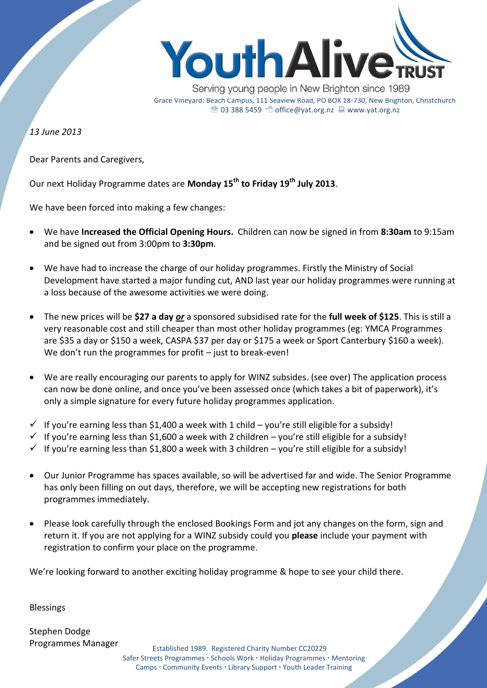

Serving young people in New Brighton since 1989 Grace Vineyard: Beach Campus, 111 Seaview Road, PO BOX 18-730, New Brighton, Christchurch <sup>2</sup> 03 388 5459 <sup>→</sup> Office@yat.org.nz ■ www.yat.org.nz

*13 June 2013*

Dear Parents and Caregivers,

Our next Holiday Programme dates are **Monday 15th to Friday 19th July 2013**.

We have been forced into making a few changes:

- We have **Increased the Official Opening Hours.** Children can now be signed in from **8:30am** to 9:15am and be signed out from 3:00pm to **3:30pm**.
- We have had to increase the charge of our holiday programmes. Firstly the Ministry of Social Development have started a major funding cut, AND last year our holiday programmes were running at a loss because of the awesome activities we were doing.
- The new prices will be **\$27 a day** *or* a sponsored subsidised rate for the **full week of \$125**. This is still a very reasonable cost and still cheaper than most other holiday programmes (eg: YMCA Programmes are \$35 a day or \$150 a week, CASPA \$37 per day or \$175 a week or Sport Canterbury \$160 a week). We don't run the programmes for profit – just to break-even!
- We are really encouraging our parents to apply for WINZ subsides. (see over) The application process can now be done online, and once you've been assessed once (which takes a bit of paperwork), it's only a simple signature for every future holiday programmes application.
- $\checkmark$  If you're earning less than \$1,400 a week with 1 child you're still eligible for a subsidy!
- $\checkmark$  If you're earning less than \$1,600 a week with 2 children you're still eligible for a subsidy!
- $\checkmark$  If you're earning less than \$1,800 a week with 3 children you're still eligible for a subsidy!
- Our Junior Programme has spaces available, so will be advertised far and wide. The Senior Programme has only been filling on out days, therefore, we will be accepting new registrations for both programmes immediately.
- Please look carefully through the enclosed Bookings Form and jot any changes on the form, sign and return it. If you are not applying for a WINZ subsidy could you **please** include your payment with registration to confirm your place on the programme.

We're looking forward to another exciting holiday programme & hope to see your child there.

Blessings

Stephen Dodge Programmes Manager

Established 1989. Registered Charity Number CC20229 Safer Streets Programmes · Schools Work · Holiday Programmes · Mentoring Camps • Community Events • Library Support • Youth Leader Training